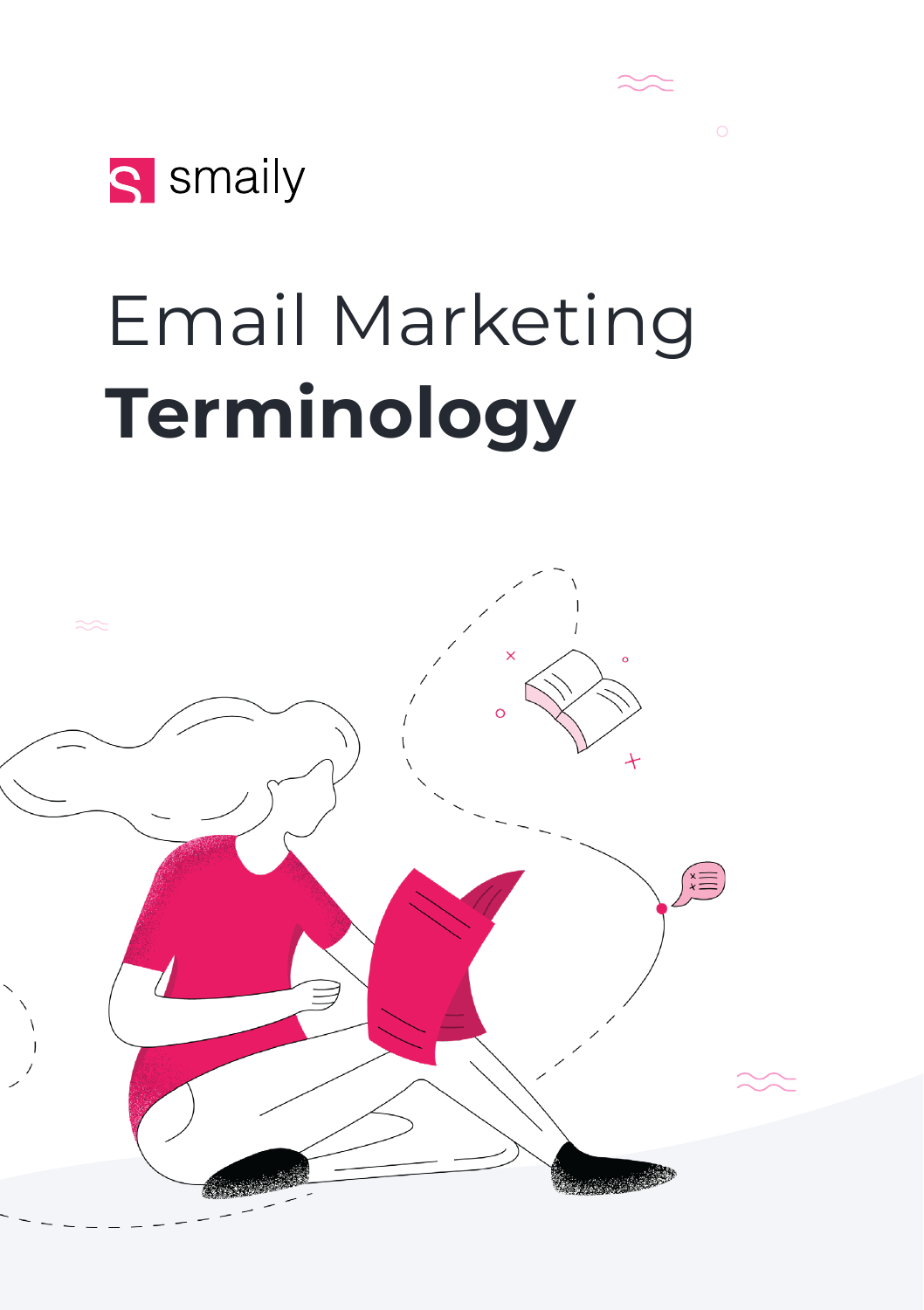

# Email Marketing **Terminology**

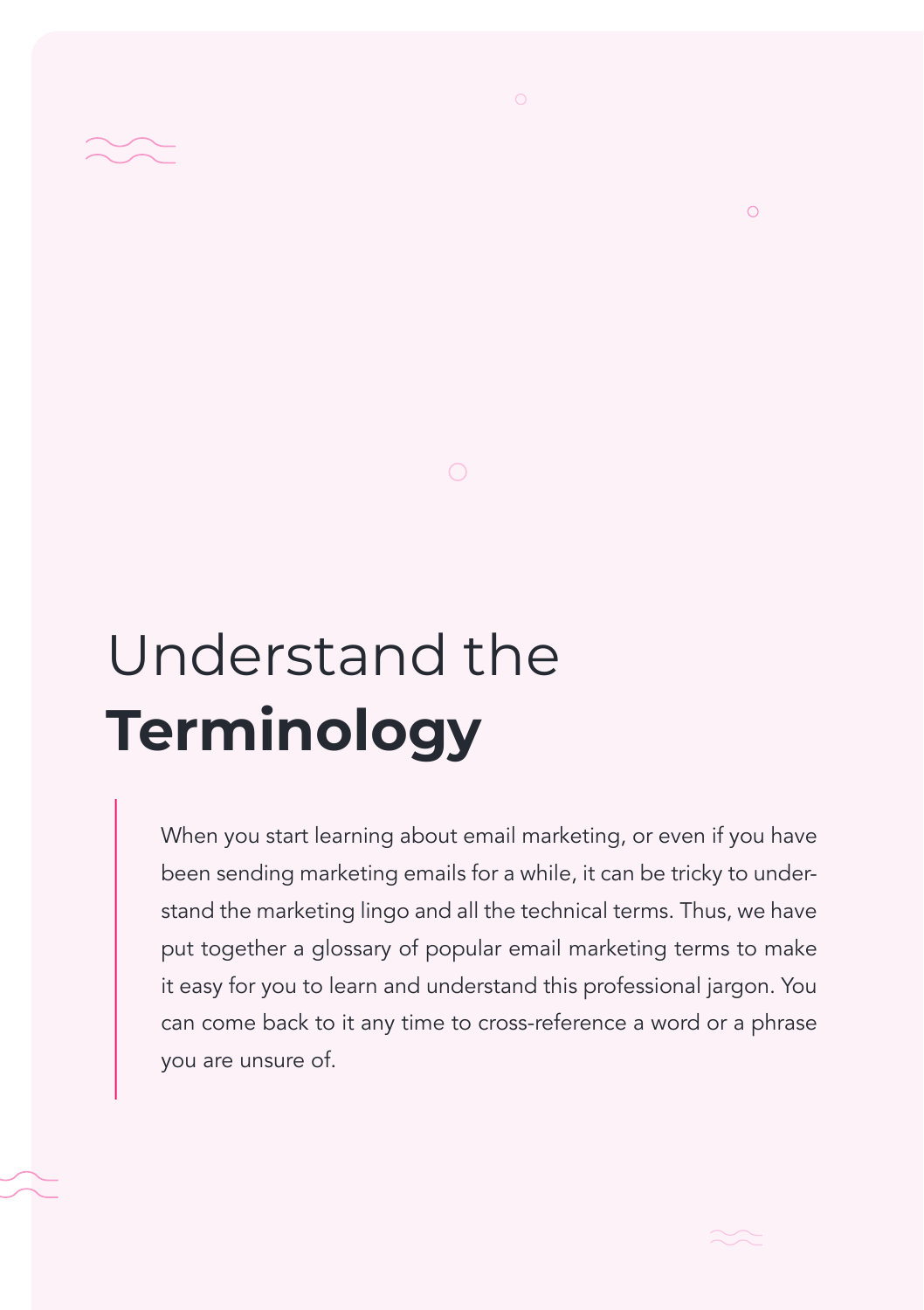

# Understand the **Terminology**

When you start learning about email marketing, or even if you have been sending marketing emails for a while, it can be tricky to understand the marketing lingo and all the technical terms. Thus, we have put together a glossary of popular email marketing terms to make it easy for you to learn and understand this professional jargon. You can come back to it any time to cross-reference a word or a phrase you are unsure of.



 $\circ$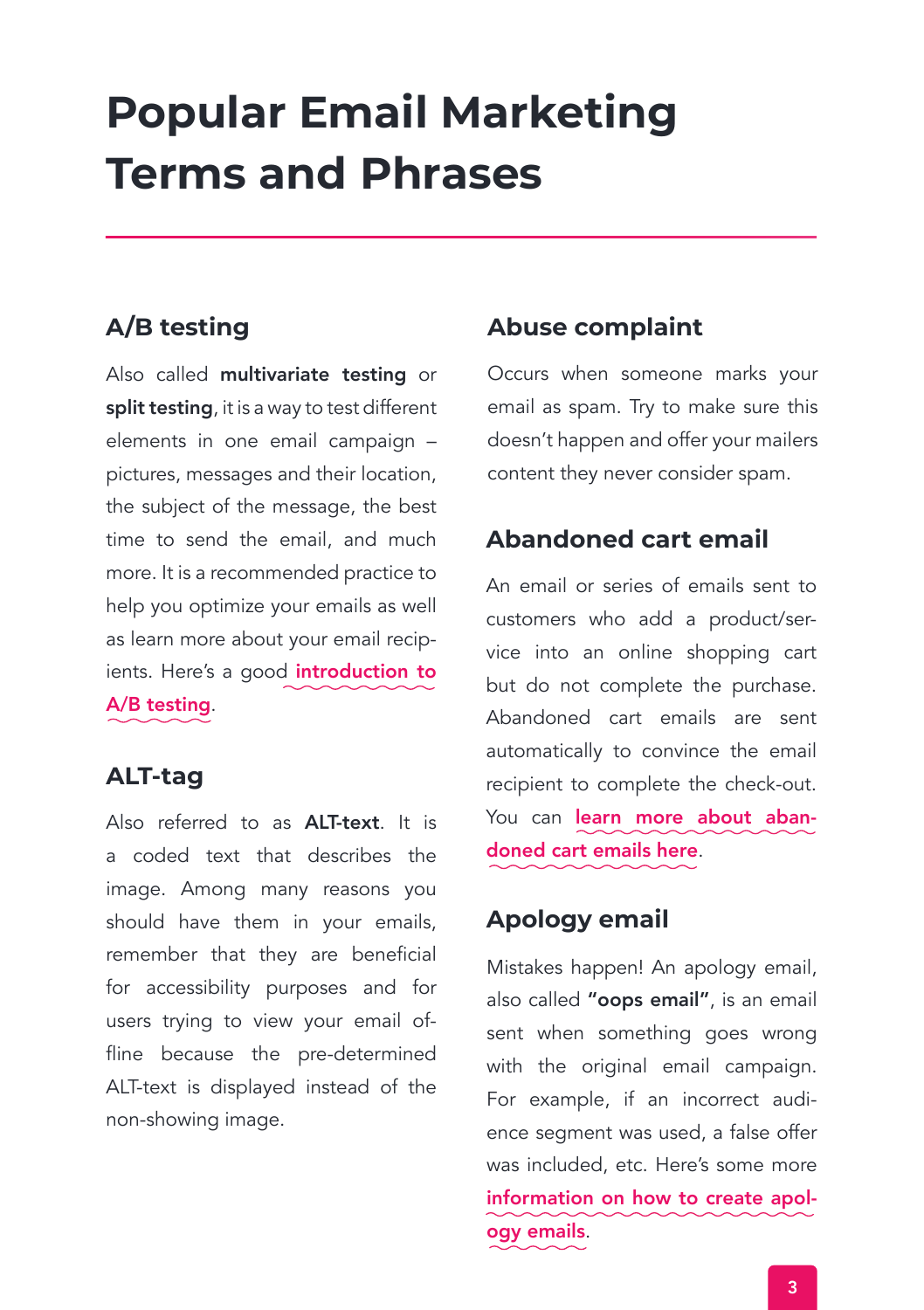# **Popular Email Marketing Terms and Phrases**

# **A/B testing**

Also called multivariate testing or split testing, it is a way to test different elements in one email campaign – pictures, messages and their location, the subject of the message, the best time to send the email, and much more. It is a recommended practice to help you optimize your emails as well as learn more about your email recip[ients. Here's a good](https://smaily.com/successful-email-marketing-introduction-into-a-b-testing/) introduction to A/B testing.

# **ALT-tag**

Also referred to as ALT-text. It is a coded text that describes the image. Among many reasons you should have them in your emails, remember that they are beneficial for accessibility purposes and for users trying to view your email offline because the pre-determined ALT-text is displayed instead of the non-showing image.

# **Abuse complaint**

Occurs when someone marks your email as spam. Try to make sure this doesn't happen and offer your mailers content they never consider spam.

# **Abandoned cart email**

An email or series of emails sent to customers who add a product/service into an online shopping cart but do not complete the purchase. Abandoned cart emails are sent automatically to convince the email recipient to complete the check-out. You can [learn more about aban](https://smaily.com/abandoned-cart-emails/)doned cart emails here.

# **Apology email**

Mistakes happen! An apology email, also called "oops email", is an email sent when something goes wrong with the original email campaign. For example, if an incorrect audience segment was used, a false offer was included, etc. Here's some more [information on how to create apol](https://smaily.com/oops-emails-how-to-deal-with-mistakes-in-marketing-emails/)ogy emails.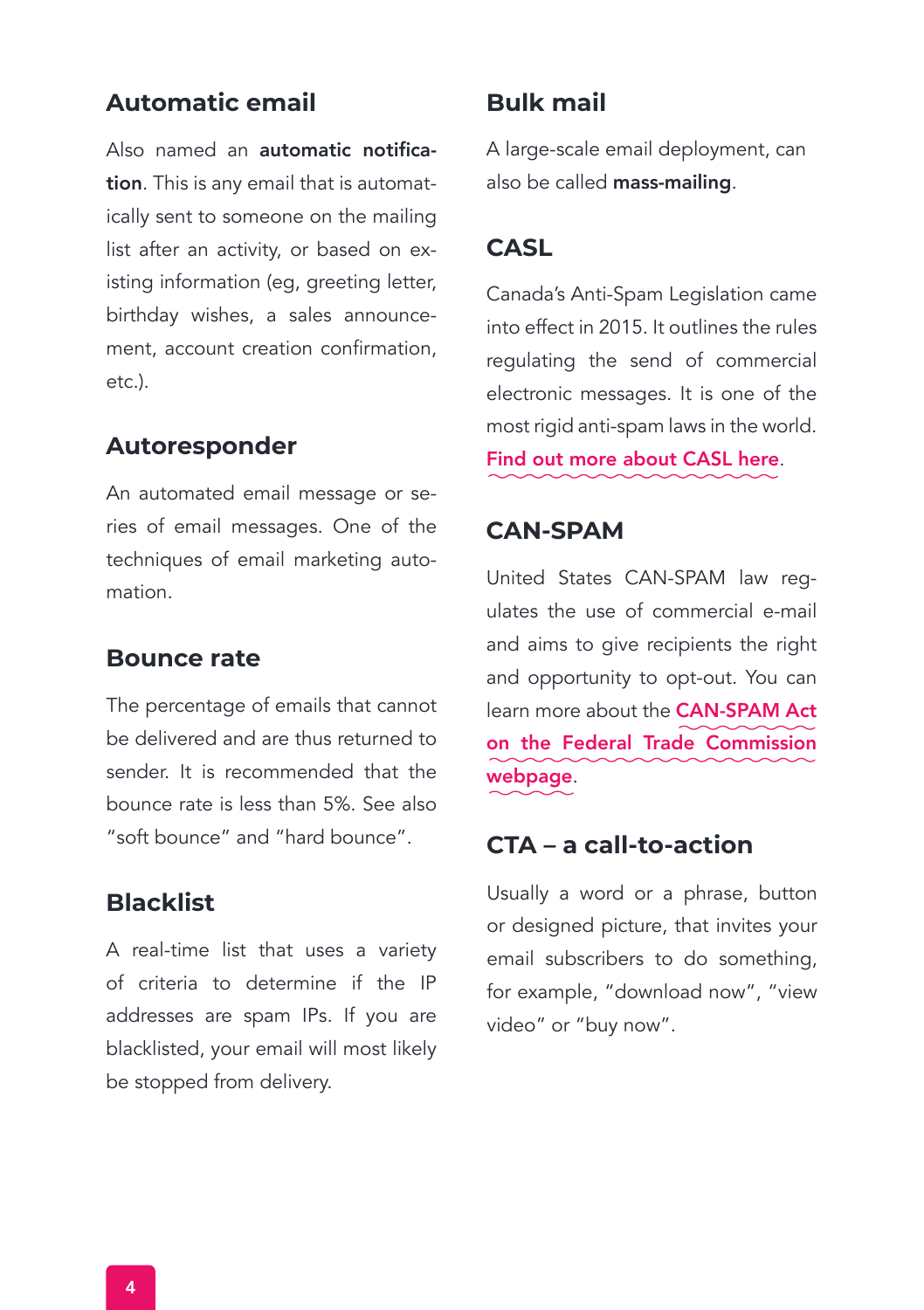# **Automatic email**

Also named an automatic notification. This is any email that is automatically sent to someone on the mailing list after an activity, or based on existing information (eg, greeting letter, birthday wishes, a sales announcement, account creation confirmation, etc.).

## **Autoresponder**

An automated email message or series of email messages. One of the techniques of email marketing automation.

## **Bounce rate**

The percentage of emails that cannot be delivered and are thus returned to sender. It is recommended that the bounce rate is less than 5%. See also "soft bounce" and "hard bounce".

## **Blacklist**

A real-time list that uses a variety of criteria to determine if the IP addresses are spam IPs. If you are blacklisted, your email will most likely be stopped from delivery.

# **Bulk mail**

A large-scale email deployment, can also be called mass-mailing.

## **CASL**

Canada's Anti-Spam Legislation came into effect in 2015. It outlines the rules regulating the send of commercial electronic messages. It is one of the most rigid anti-spam laws in the world.

[Find out more about CASL here](https://crtc.gc.ca/eng/internet/anti.htm).

## **CAN-SPAM**

United States CAN-SPAM law regulates the use of commercial e-mail and aims to give recipients the right and opportunity to opt-out. You can learn more about the CAN-SPAM Act [on the Federal Trade Commission](https://www.ftc.gov/business-guidance/resources/can-spam-act-compliance-guide-business) webpage.

## **CTA – a call-to-action**

Usually a word or a phrase, button or designed picture, that invites your email subscribers to do something, for example, "download now", "view video" or "buy now".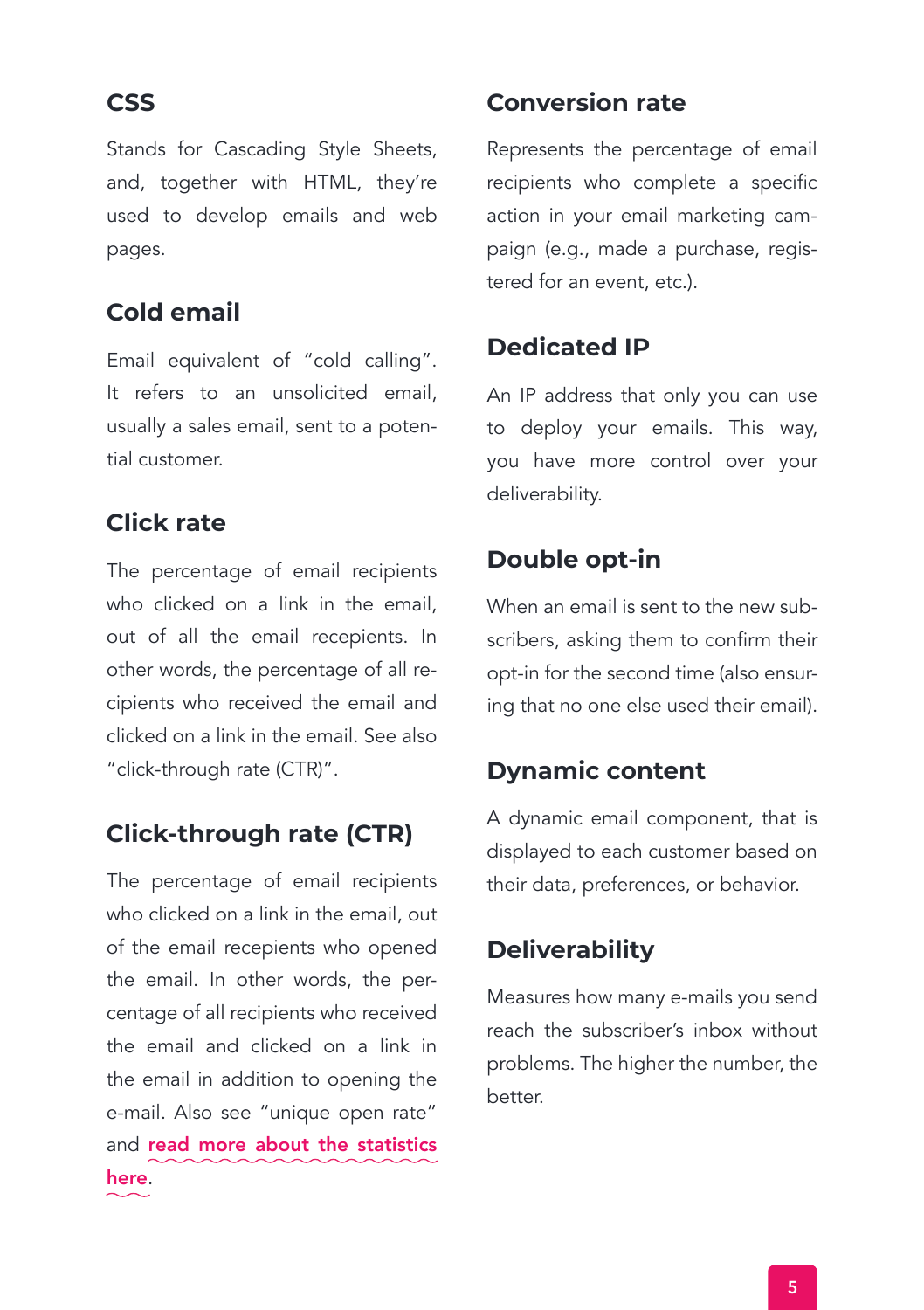Stands for Cascading Style Sheets, and, together with HTML, they're used to develop emails and web pages.

# **Cold email**

Email equivalent of "cold calling". It refers to an unsolicited email, usually a sales email, sent to a potential customer.

# **Click rate**

The percentage of email recipients who clicked on a link in the email, out of all the email recepients. In other words, the percentage of all recipients who received the email and clicked on a link in the email. See also "click-through rate (CTR)".

# **Click-through rate (CTR)**

The percentage of email recipients who clicked on a link in the email, out of the email recepients who opened the email. In other words, the percentage of all recipients who received the email and clicked on a link in the email in addition to opening the e-mail. Also see "unique open rate" and [read more about the statistics](https://smaily.com/help/user-manual/campaigns-2/campaign-statistics/)  here.

# **CSS Conversion rate**

Represents the percentage of email recipients who complete a specific action in your email marketing campaign (e.g., made a purchase, registered for an event, etc.).

# **Dedicated IP**

An IP address that only you can use to deploy your emails. This way, you have more control over your deliverability.

# **Double opt-in**

When an email is sent to the new subscribers, asking them to confirm their opt-in for the second time (also ensuring that no one else used their email).

# **Dynamic content**

A dynamic email component, that is displayed to each customer based on their data, preferences, or behavior.

# **Deliverability**

Measures how many e-mails you send reach the subscriber's inbox without problems. The higher the number, the better.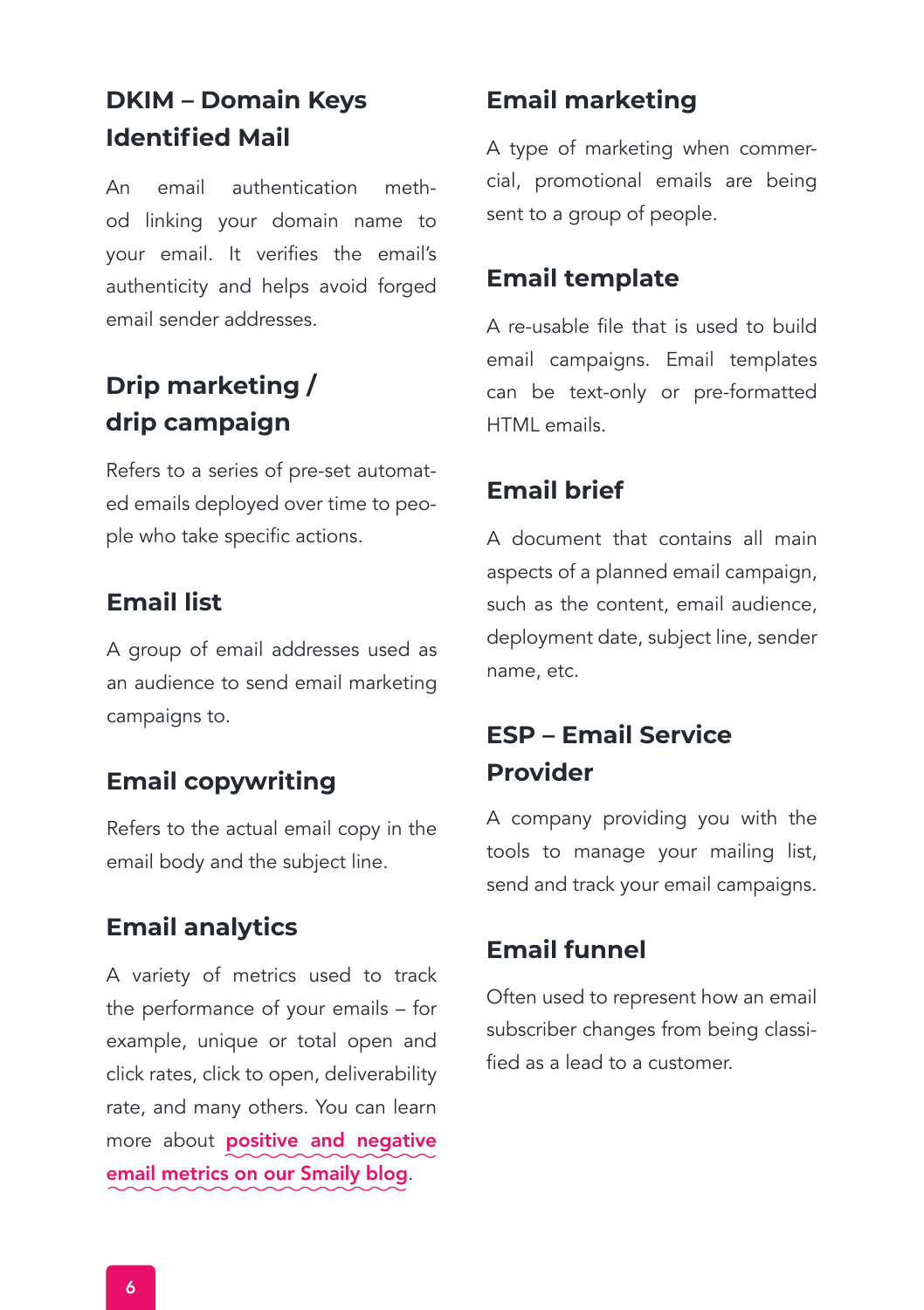# **DKIM – Domain Keys Identified Mail**

An email authentication method linking your domain name to your email. It verifies the email's authenticity and helps avoid forged email sender addresses.

# **Drip marketing / drip campaign**

Refers to a series of pre-set automated emails deployed over time to people who take specific actions.

# **Email list**

A group of email addresses used as an audience to send email marketing campaigns to.

# **Email copywriting**

Refers to the actual email copy in the email body and the subject line.

# **Email analytics**

A variety of metrics used to track the performance of your emails – for example, unique or total open and click rates, click to open, deliverability rate, and many others. You can learn more about **positive and negative** [email metrics on our Smaily blog](https://smaily.com/email-analytics-use-both-positive-and-negative-email-metrics-to-optimise-your-next-campaigns/).

# **Email marketing**

A type of marketing when commercial, promotional emails are being sent to a group of people.

# **Email template**

A re-usable file that is used to build email campaigns. Email templates can be text-only or pre-formatted HTML emails.

# **Email brief**

A document that contains all main aspects of a planned email campaign, such as the content, email audience, deployment date, subject line, sender name, etc.

# **ESP – Email Service Provider**

A company providing you with the tools to manage your mailing list, send and track your email campaigns.

# **Email funnel**

Often used to represent how an email subscriber changes from being classified as a lead to a customer.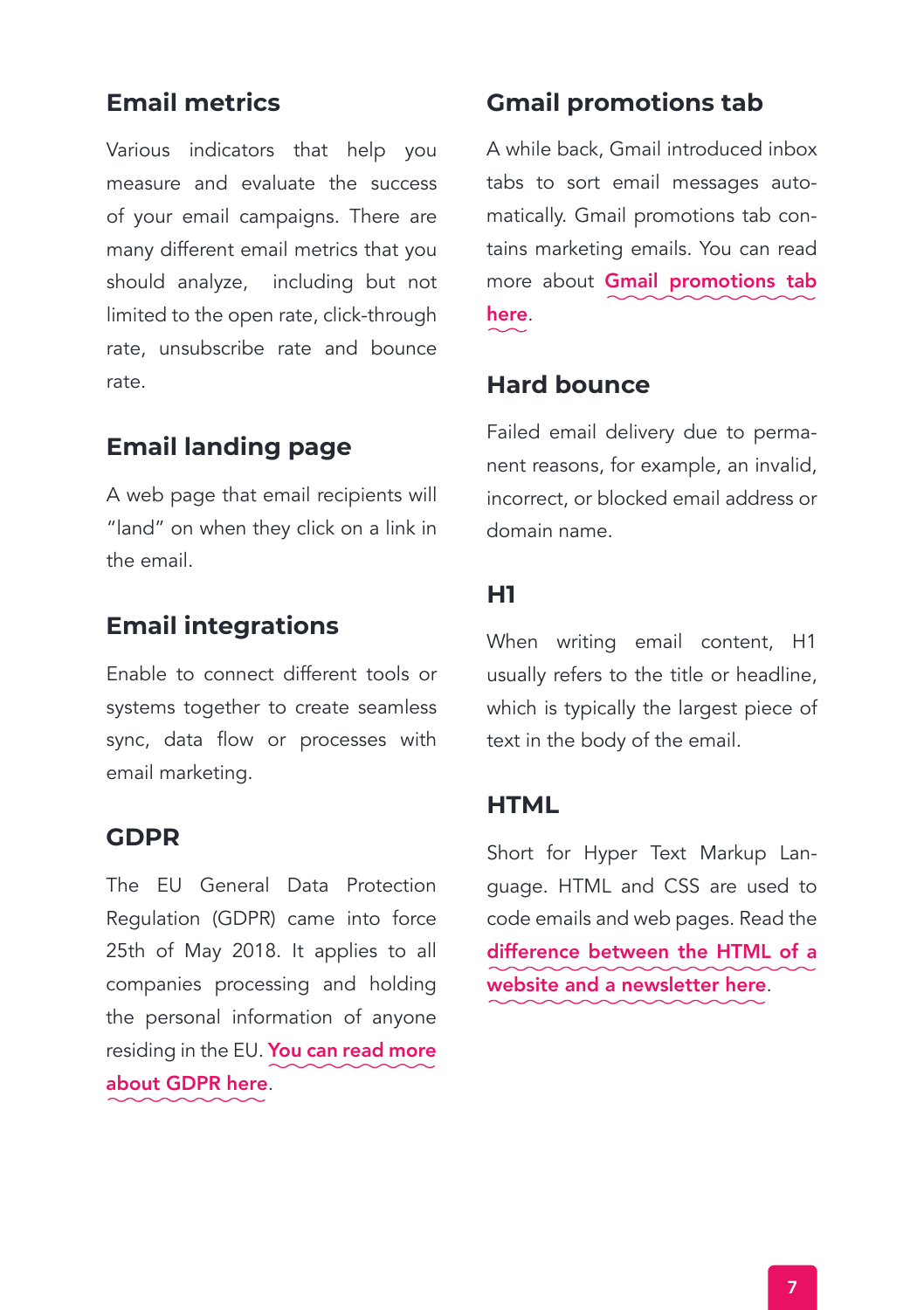# **Email metrics**

Various indicators that help you measure and evaluate the success of your email campaigns. There are many different email metrics that you should analyze, including but not limited to the open rate, click-through rate, unsubscribe rate and bounce rate.

# **Email landing page**

A web page that email recipients will "land" on when they click on a link in the email.

# **Email integrations**

Enable to connect different tools or systems together to create seamless sync, data flow or processes with email marketing.

## **GDPR**

The EU General Data Protection Regulation (GDPR) came into force 25th of May 2018. It applies to all companies processing and holding the personal information of anyone residing in the EU. [You can read more](https://gdpr-info.eu) about GDPR here.

# **Gmail promotions tab**

A while back, Gmail introduced inbox tabs to sort email messages automatically. Gmail promotions tab contains marketing emails. You can read more about [Gmail promotions tab](https://smaily.com/gmail-promotions-tab-discover-the-benefits/) here.

## **Hard bounce**

Failed email delivery due to permanent reasons, for example, an invalid, incorrect, or blocked email address or domain name.

## **H1**

When writing email content, H1 usually refers to the title or headline, which is typically the largest piece of text in the body of the email.

### **HTML**

Short for Hyper Text Markup Language. HTML and CSS are used to code emails and web pages. Read the [difference between the HTML of a](https://smaily.com/email-coding-vs-web-coding-its-not-the-same/) website and a newsletter here.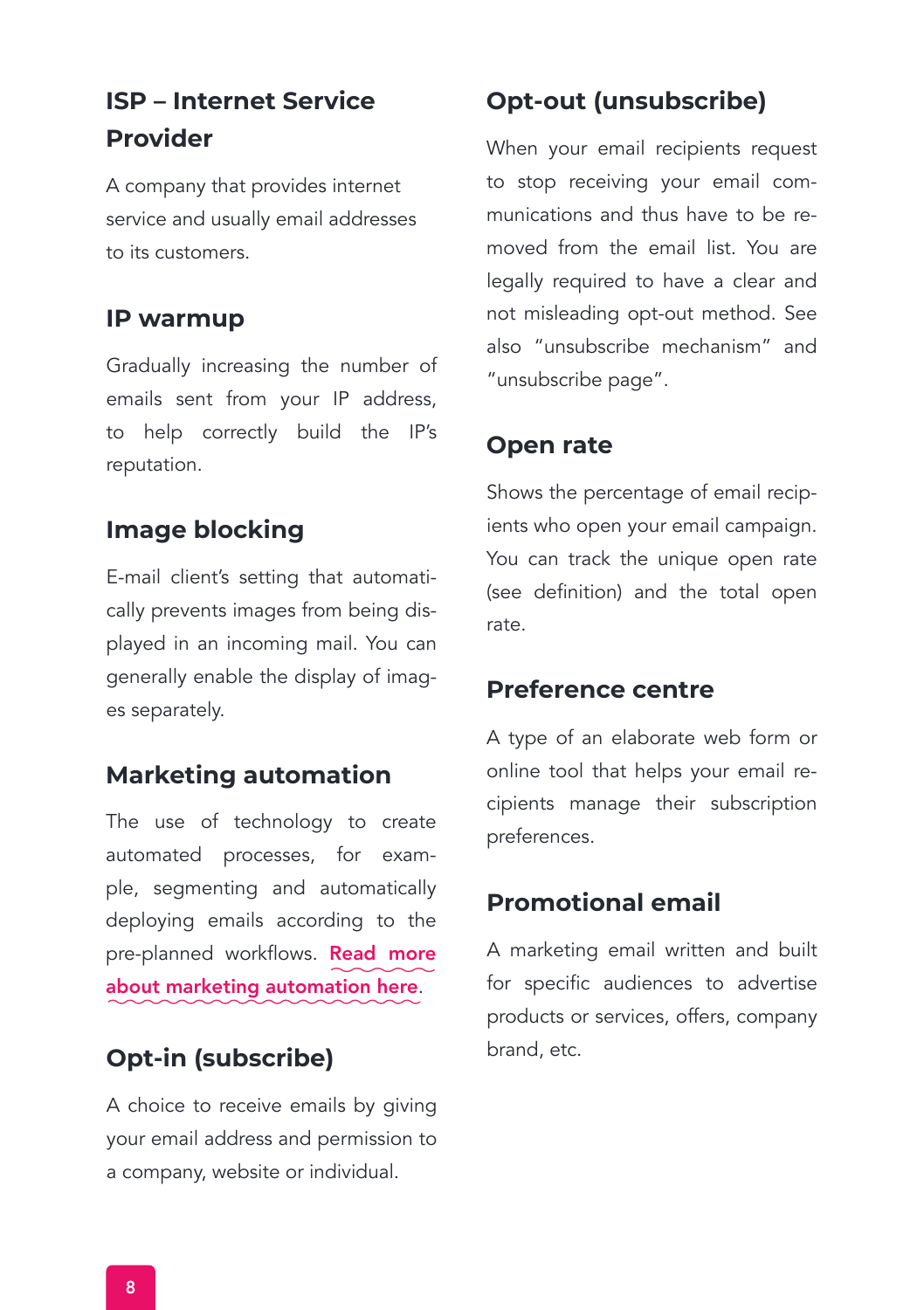# **ISP – Internet Service Provider**

A company that provides internet service and usually email addresses to its customers.

# **IP warmup**

Gradually increasing the number of emails sent from your IP address, to help correctly build the IP's reputation.

# **Image blocking**

E-mail client's setting that automatically prevents images from being displayed in an incoming mail. You can generally enable the display of images separately.

# **Marketing automation**

The use of technology to create automated processes, for example, segmenting and automatically deploying emails according to the pre-planned workflows. Read more [about marketing automation here](https://smaily.com/email-marketing-automation-demystified/).

# **Opt-in (subscribe)**

A choice to receive emails by giving your email address and permission to a company, website or individual.

# **Opt-out (unsubscribe)**

When your email recipients request to stop receiving your email communications and thus have to be removed from the email list. You are legally required to have a clear and not misleading opt-out method. See also "unsubscribe mechanism" and "unsubscribe page".

# **Open rate**

Shows the percentage of email recipients who open your email campaign. You can track the unique open rate (see definition) and the total open rate.

# **Preference centre**

A type of an elaborate web form or online tool that helps your email recipients manage their subscription preferences.

# **Promotional email**

A marketing email written and built for specific audiences to advertise products or services, offers, company brand, etc.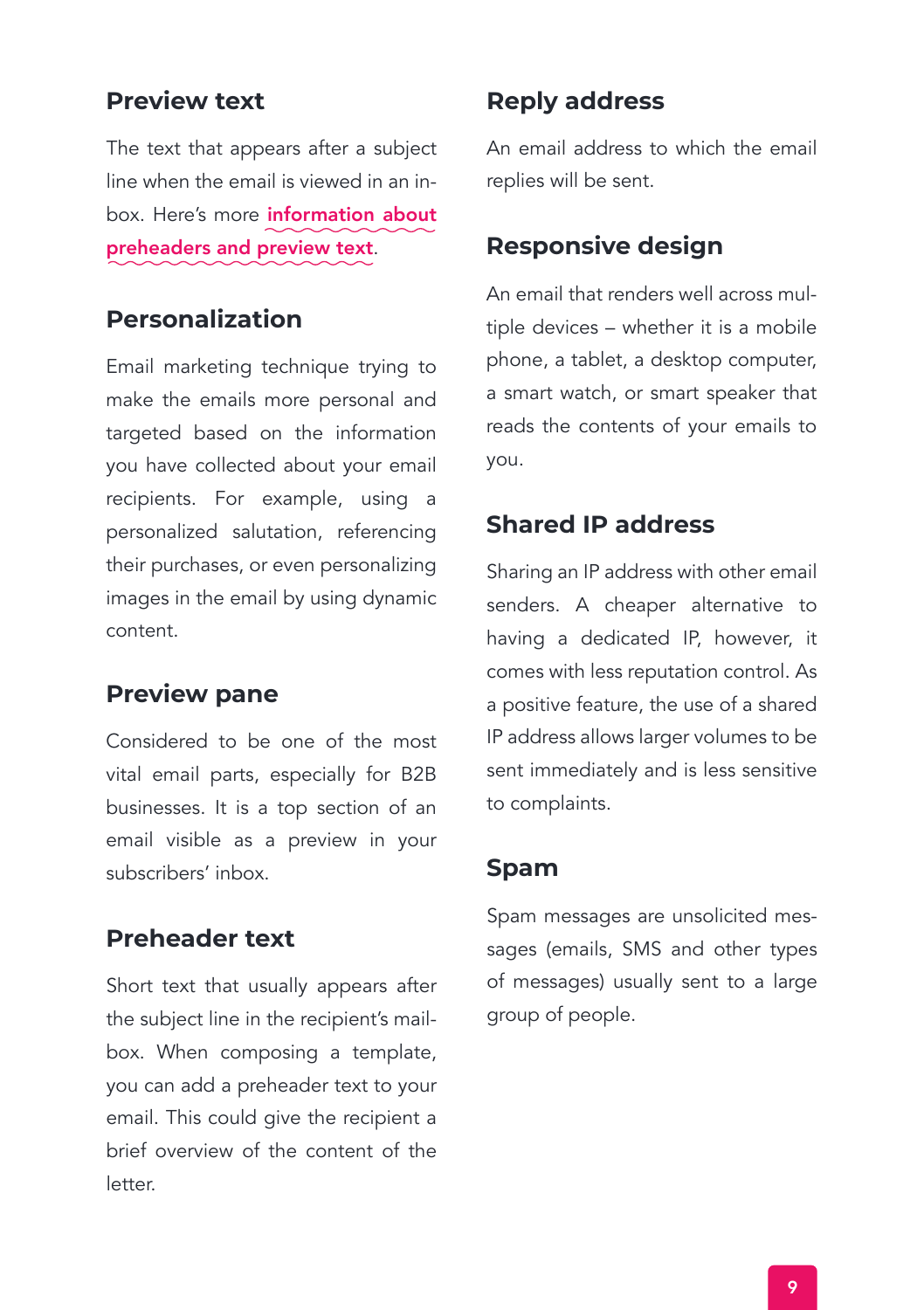# **Preview text**

The text that appears after a subject line when the email is viewed in an inbox. Here's more information about [preheaders and preview text](https://smaily.com/learning-to-leverage-preheaders-and-preview-text/).

## **Personalization**

Email marketing technique trying to make the emails more personal and targeted based on the information you have collected about your email recipients. For example, using a personalized salutation, referencing their purchases, or even personalizing images in the email by using dynamic content.

# **Preview pane**

Considered to be one of the most vital email parts, especially for B2B businesses. It is a top section of an email visible as a preview in your subscribers' inbox.

## **Preheader text**

Short text that usually appears after the subject line in the recipient's mailbox. When composing a template, you can add a preheader text to your email. This could give the recipient a brief overview of the content of the letter.

# **Reply address**

An email address to which the email replies will be sent.

# **Responsive design**

An email that renders well across multiple devices – whether it is a mobile phone, a tablet, a desktop computer, a smart watch, or smart speaker that reads the contents of your emails to you.

## **Shared IP address**

Sharing an IP address with other email senders. A cheaper alternative to having a dedicated IP, however, it comes with less reputation control. As a positive feature, the use of a shared IP address allows larger volumes to be sent immediately and is less sensitive to complaints.

## **Spam**

Spam messages are unsolicited messages (emails, SMS and other types of messages) usually sent to a large group of people.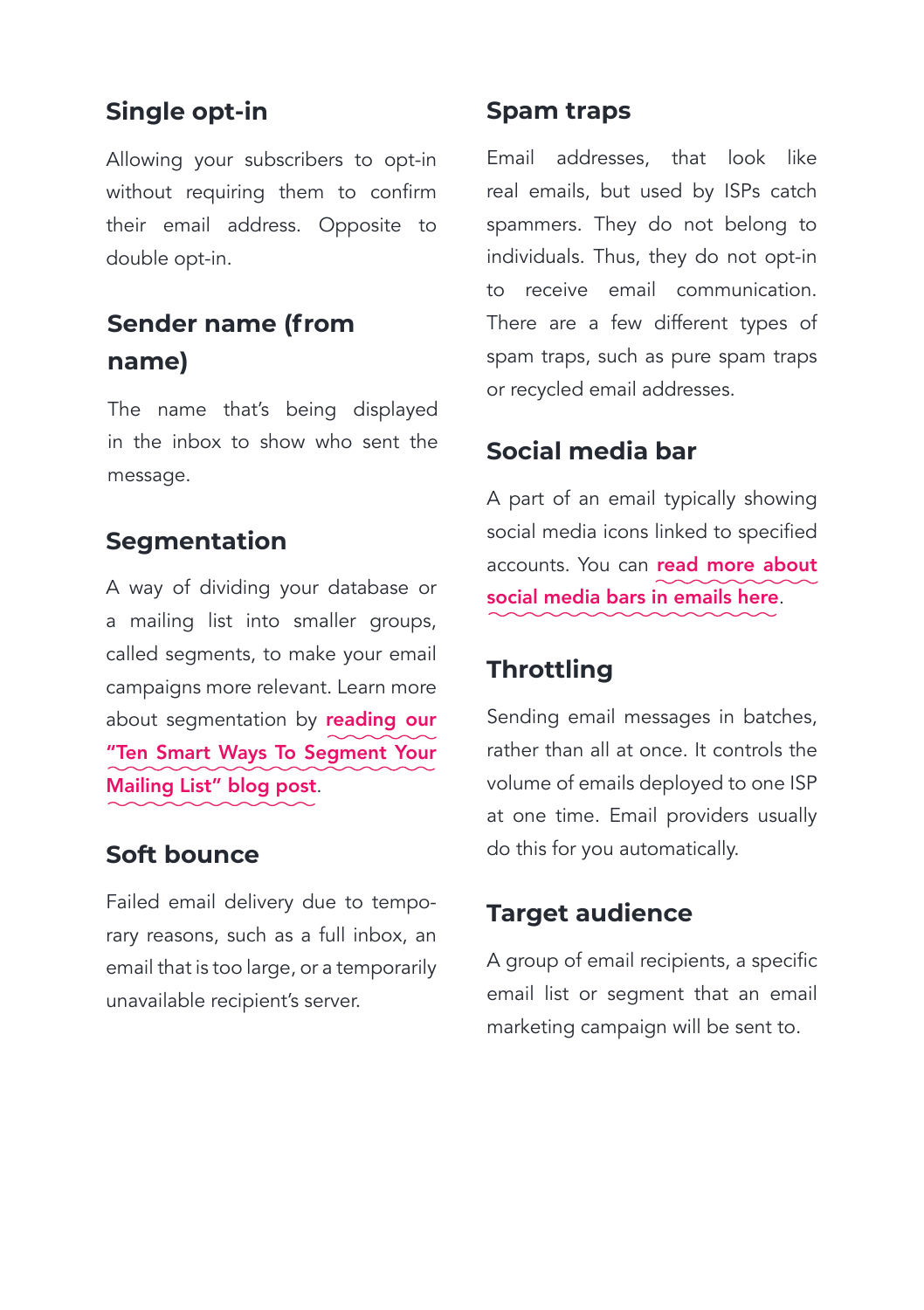# **Single opt-in**

Allowing your subscribers to opt-in without requiring them to confirm their email address. Opposite to double opt-in.

# **Sender name (from name)**

The name that's being displayed in the inbox to show who sent the message.

# **Segmentation**

A way of dividing your database or a mailing list into smaller groups, called segments, to make your email campaigns more relevant. Learn more about segmentation by reading our ["Ten Smart Ways To Segment Your](https://smaily.com/ten-smart-ways-to-segment-your-mailing-list/) Mailing List" blog post.

## **Soft bounce**

Failed email delivery due to temporary reasons, such as a full inbox, an email that is too large, or a temporarily unavailable recipient's server.

## **Spam traps**

Email addresses, that look like real emails, but used by ISPs catch spammers. They do not belong to individuals. Thus, they do not opt-in to receive email communication. There are a few different types of spam traps, such as pure spam traps or recycled email addresses.

# **Social media bar**

A part of an email typically showing social media icons linked to specified accounts. You can read more about [social media bars in emails here](https://smaily.com/social-media-for-email-marketing/).

# **Throttling**

Sending email messages in batches, rather than all at once. It controls the volume of emails deployed to one ISP at one time. Email providers usually do this for you automatically.

## **Target audience**

A group of email recipients, a specific email list or segment that an email marketing campaign will be sent to.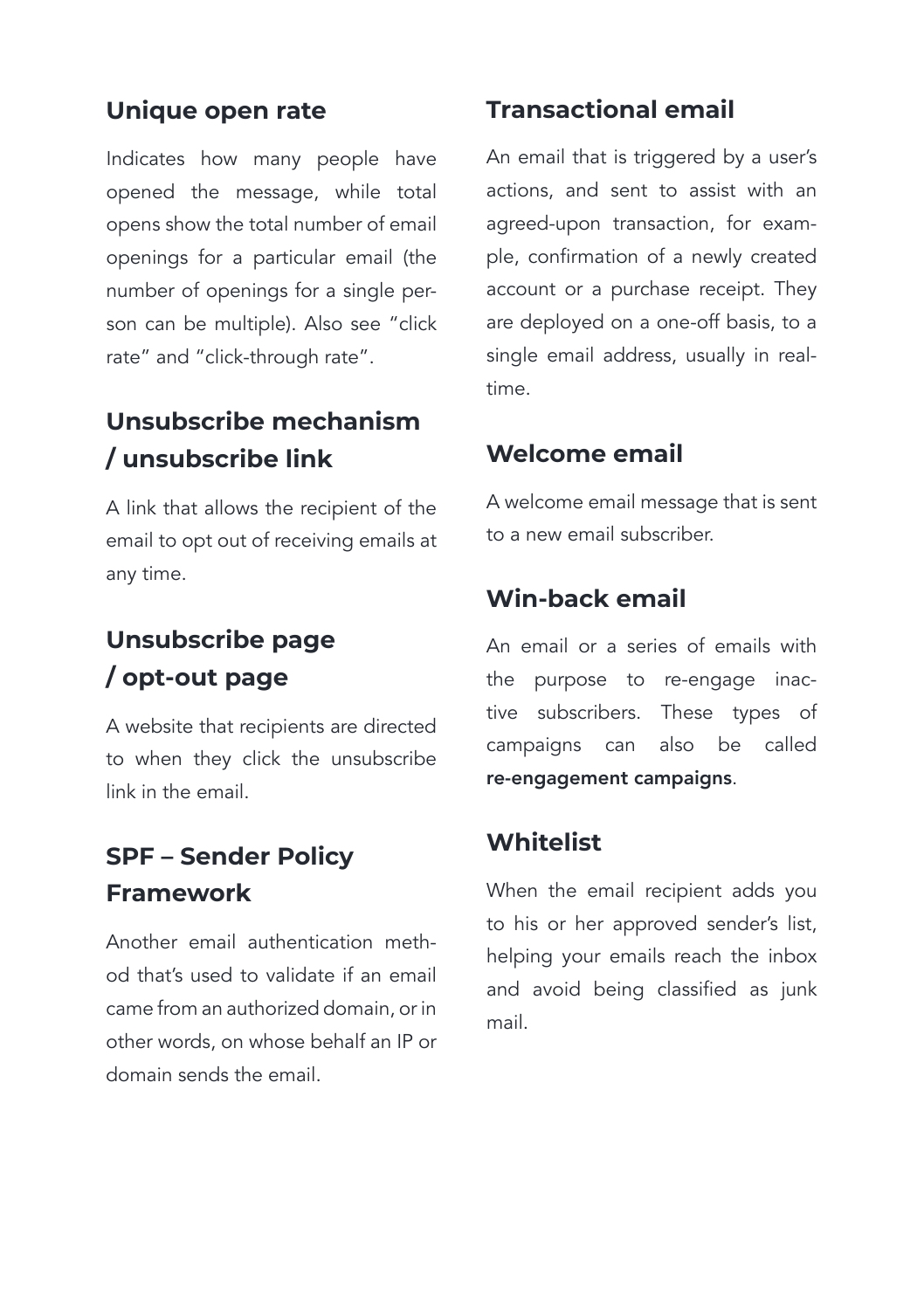# **Unique open rate**

Indicates how many people have opened the message, while total opens show the total number of email openings for a particular email (the number of openings for a single person can be multiple). Also see "click rate" and "click-through rate".

# **Unsubscribe mechanism / unsubscribe link**

A link that allows the recipient of the email to opt out of receiving emails at any time.

# **Unsubscribe page / opt-out page**

A website that recipients are directed to when they click the unsubscribe link in the email.

# **SPF – Sender Policy Framework**

Another email authentication method that's used to validate if an email came from an authorized domain, or in other words, on whose behalf an IP or domain sends the email.

# **Transactional email**

An email that is triggered by a user's actions, and sent to assist with an agreed-upon transaction, for example, confirmation of a newly created account or a purchase receipt. They are deployed on a one-off basis, to a single email address, usually in realtime.

# **Welcome email**

A welcome email message that is sent to a new email subscriber.

# **Win-back email**

An email or a series of emails with the purpose to re-engage inactive subscribers. These types of campaigns can also be called re-engagement campaigns.

# **Whitelist**

When the email recipient adds you to his or her approved sender's list, helping your emails reach the inbox and avoid being classified as junk mail.